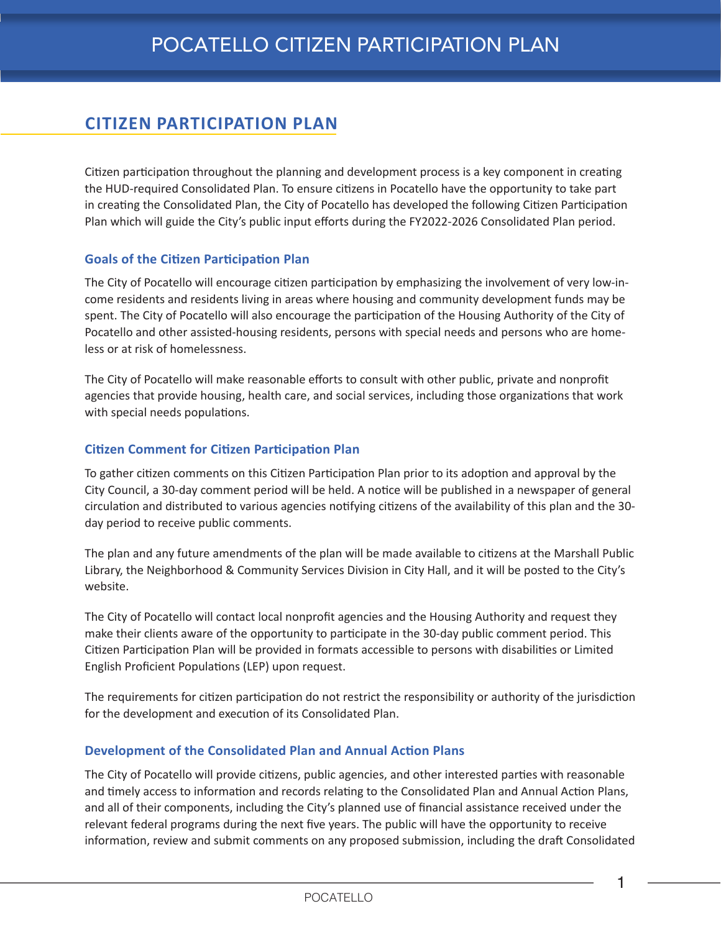# **CITIZEN PARTICIPATION PLAN**

Citizen participation throughout the planning and development process is a key component in creating the HUD-required Consolidated Plan. To ensure citizens in Pocatello have the opportunity to take part in creating the Consolidated Plan, the City of Pocatello has developed the following Citizen Participation Plan which will guide the City's public input efforts during the FY2022-2026 Consolidated Plan period.

### **Goals of the Citizen Participation Plan**

The City of Pocatello will encourage citizen participation by emphasizing the involvement of very low-income residents and residents living in areas where housing and community development funds may be spent. The City of Pocatello will also encourage the participation of the Housing Authority of the City of Pocatello and other assisted-housing residents, persons with special needs and persons who are homeless or at risk of homelessness.

The City of Pocatello will make reasonable efforts to consult with other public, private and nonprofit agencies that provide housing, health care, and social services, including those organizations that work with special needs populations.

#### **Citizen Comment for Citizen Participation Plan**

To gather citizen comments on this Citizen Participation Plan prior to its adoption and approval by the City Council, a 30-day comment period will be held. A notice will be published in a newspaper of general circulation and distributed to various agencies notifying citizens of the availability of this plan and the 30 day period to receive public comments.

The plan and any future amendments of the plan will be made available to citizens at the Marshall Public Library, the Neighborhood & Community Services Division in City Hall, and it will be posted to the City's website.

The City of Pocatello will contact local nonprofit agencies and the Housing Authority and request they make their clients aware of the opportunity to participate in the 30-day public comment period. This Citizen Participation Plan will be provided in formats accessible to persons with disabilities or Limited English Proficient Populations (LEP) upon request.

The requirements for citizen participation do not restrict the responsibility or authority of the jurisdiction for the development and execution of its Consolidated Plan.

### **Development of the Consolidated Plan and Annual Action Plans**

The City of Pocatello will provide citizens, public agencies, and other interested parties with reasonable and timely access to information and records relating to the Consolidated Plan and Annual Action Plans, and all of their components, including the City's planned use of financial assistance received under the relevant federal programs during the next five years. The public will have the opportunity to receive information, review and submit comments on any proposed submission, including the draft Consolidated

1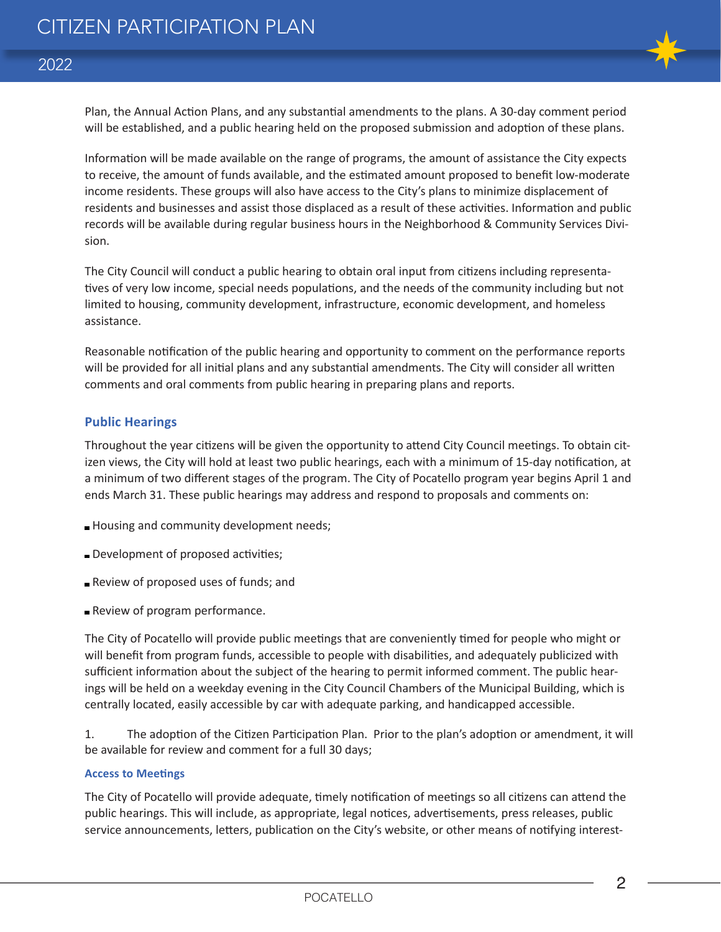

Plan, the Annual Action Plans, and any substantial amendments to the plans. A 30-day comment period will be established, and a public hearing held on the proposed submission and adoption of these plans.

Information will be made available on the range of programs, the amount of assistance the City expects to receive, the amount of funds available, and the estimated amount proposed to benefit low-moderate income residents. These groups will also have access to the City's plans to minimize displacement of residents and businesses and assist those displaced as a result of these activities. Information and public records will be available during regular business hours in the Neighborhood & Community Services Division.

The City Council will conduct a public hearing to obtain oral input from citizens including representatives of very low income, special needs populations, and the needs of the community including but not limited to housing, community development, infrastructure, economic development, and homeless assistance.

Reasonable notification of the public hearing and opportunity to comment on the performance reports will be provided for all initial plans and any substantial amendments. The City will consider all written comments and oral comments from public hearing in preparing plans and reports.

#### **Public Hearings**

Throughout the year citizens will be given the opportunity to attend City Council meetings. To obtain citizen views, the City will hold at least two public hearings, each with a minimum of 15-day notification, at a minimum of two different stages of the program. The City of Pocatello program year begins April 1 and ends March 31. These public hearings may address and respond to proposals and comments on:

- **Housing and community development needs;**
- Development of proposed activities;
- Review of proposed uses of funds; and
- **Review of program performance.**

The City of Pocatello will provide public meetings that are conveniently timed for people who might or will benefit from program funds, accessible to people with disabilities, and adequately publicized with sufficient information about the subject of the hearing to permit informed comment. The public hearings will be held on a weekday evening in the City Council Chambers of the Municipal Building, which is centrally located, easily accessible by car with adequate parking, and handicapped accessible.

1. The adoption of the Citizen Participation Plan. Prior to the plan's adoption or amendment, it will be available for review and comment for a full 30 days;

#### **Access to Meetings**

The City of Pocatello will provide adequate, timely notification of meetings so all citizens can attend the public hearings. This will include, as appropriate, legal notices, advertisements, press releases, public service announcements, letters, publication on the City's website, or other means of notifying interest-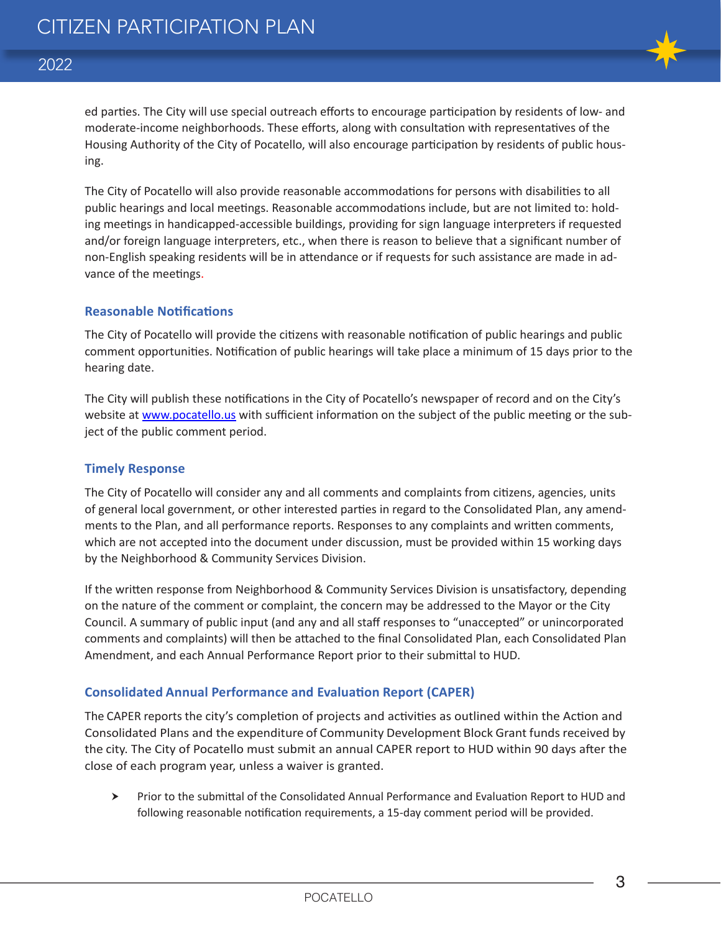

## 2022

ed parties. The City will use special outreach efforts to encourage participation by residents of low- and moderate-income neighborhoods. These efforts, along with consultation with representatives of the Housing Authority of the City of Pocatello, will also encourage participation by residents of public housing.

The City of Pocatello will also provide reasonable accommodations for persons with disabilities to all public hearings and local meetings. Reasonable accommodations include, but are not limited to: holding meetings in handicapped-accessible buildings, providing for sign language interpreters if requested and/or foreign language interpreters, etc., when there is reason to believe that a significant number of non-English speaking residents will be in attendance or if requests for such assistance are made in advance of the meetings.

#### **Reasonable Notifications**

The City of Pocatello will provide the citizens with reasonable notification of public hearings and public comment opportunities. Notification of public hearings will take place a minimum of 15 days prior to the hearing date.

The City will publish these notifications in the City of Pocatello's newspaper of record and on the City's website at www.pocatello.us with sufficient information on the subject of the public meeting or the subject of the public comment period.

### **Timely Response**

The City of Pocatello will consider any and all comments and complaints from citizens, agencies, units of general local government, or other interested parties in regard to the Consolidated Plan, any amendments to the Plan, and all performance reports. Responses to any complaints and written comments, which are not accepted into the document under discussion, must be provided within 15 working days by the Neighborhood & Community Services Division.

If the written response from Neighborhood & Community Services Division is unsatisfactory, depending on the nature of the comment or complaint, the concern may be addressed to the Mayor or the City Council. A summary of public input (and any and all staff responses to "unaccepted" or unincorporated comments and complaints) will then be attached to the final Consolidated Plan, each Consolidated Plan Amendment, and each Annual Performance Report prior to their submittal to HUD.

### **Consolidated Annual Performance and Evaluation Report (CAPER)**

The CAPER reports the city's completion of projects and activities as outlined within the Action and Consolidated Plans and the expenditure of Community Development Block Grant funds received by the city. The City of Pocatello must submit an annual CAPER report to HUD within 90 days after the close of each program year, unless a waiver is granted.

 Prior to the submittal of the Consolidated Annual Performance and Evaluation Report to HUD and following reasonable notification requirements, a 15-day comment period will be provided.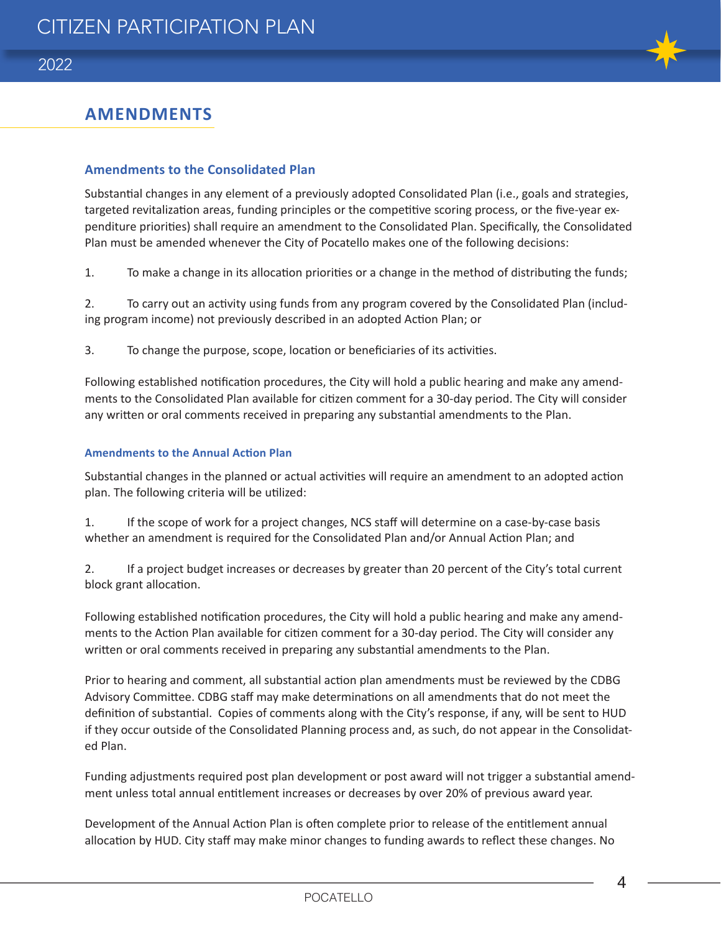

## **AMENDMENTS**

#### **Amendments to the Consolidated Plan**

Substantial changes in any element of a previously adopted Consolidated Plan (i.e., goals and strategies, targeted revitalization areas, funding principles or the competitive scoring process, or the five-year expenditure priorities) shall require an amendment to the Consolidated Plan. Specifically, the Consolidated Plan must be amended whenever the City of Pocatello makes one of the following decisions:

1. To make a change in its allocation priorities or a change in the method of distributing the funds;

2. To carry out an activity using funds from any program covered by the Consolidated Plan (including program income) not previously described in an adopted Action Plan; or

3. To change the purpose, scope, location or beneficiaries of its activities.

Following established notification procedures, the City will hold a public hearing and make any amendments to the Consolidated Plan available for citizen comment for a 30-day period. The City will consider any written or oral comments received in preparing any substantial amendments to the Plan.

#### **Amendments to the Annual Action Plan**

Substantial changes in the planned or actual activities will require an amendment to an adopted action plan. The following criteria will be utilized:

1. If the scope of work for a project changes, NCS staff will determine on a case-by-case basis whether an amendment is required for the Consolidated Plan and/or Annual Action Plan; and

2. If a project budget increases or decreases by greater than 20 percent of the City's total current block grant allocation.

Following established notification procedures, the City will hold a public hearing and make any amendments to the Action Plan available for citizen comment for a 30-day period. The City will consider any written or oral comments received in preparing any substantial amendments to the Plan.

Prior to hearing and comment, all substantial action plan amendments must be reviewed by the CDBG Advisory Committee. CDBG staff may make determinations on all amendments that do not meet the definition of substantial. Copies of comments along with the City's response, if any, will be sent to HUD if they occur outside of the Consolidated Planning process and, as such, do not appear in the Consolidated Plan.

Funding adjustments required post plan development or post award will not trigger a substantial amendment unless total annual entitlement increases or decreases by over 20% of previous award year.

Development of the Annual Action Plan is often complete prior to release of the entitlement annual allocation by HUD. City staff may make minor changes to funding awards to reflect these changes. No